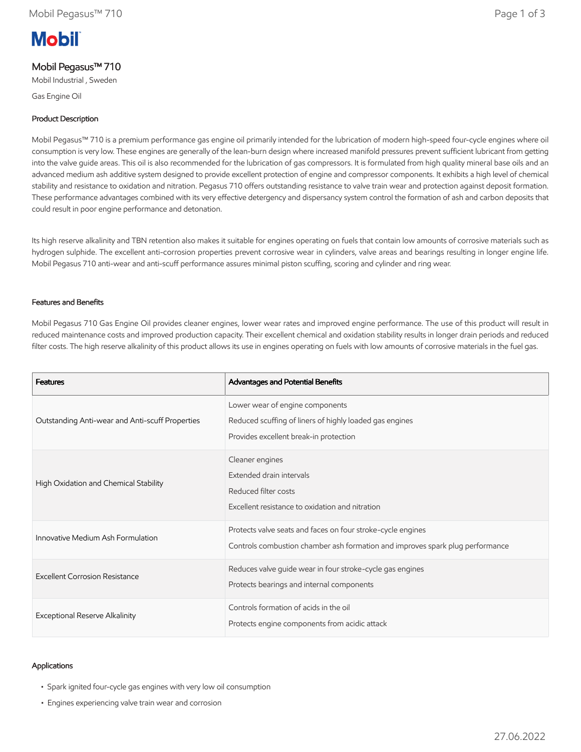# **Mobil**

## Mobil Pegasus™ 710

Mobil Industrial , Sweden

Gas Engine Oil

## Product Description

Mobil Pegasus™ 710 is a premium performance gas engine oil primarily intended for the lubrication of modern high-speed four-cycle engines where oil consumption is very low. These engines are generally of the lean-burn design where increased manifold pressures prevent sufficient lubricant from getting into the valve guide areas. This oil is also recommended for the lubrication of gas compressors. It is formulated from high quality mineral base oils and an advanced medium ash additive system designed to provide excellent protection of engine and compressor components. It exhibits a high level of chemical stability and resistance to oxidation and nitration. Pegasus 710 offers outstanding resistance to valve train wear and protection against deposit formation. These performance advantages combined with its very effective detergency and dispersancy system control the formation of ash and carbon deposits that could result in poor engine performance and detonation.

Its high reserve alkalinity and TBN retention also makes it suitable for engines operating on fuels that contain low amounts of corrosive materials such as hydrogen sulphide. The excellent anti-corrosion properties prevent corrosive wear in cylinders, valve areas and bearings resulting in longer engine life. Mobil Pegasus 710 anti-wear and anti-scuff performance assures minimal piston scuffing, scoring and cylinder and ring wear.

### Features and Benefits

Mobil Pegasus 710 Gas Engine Oil provides cleaner engines, lower wear rates and improved engine performance. The use of this product will result in reduced maintenance costs and improved production capacity. Their excellent chemical and oxidation stability results in longer drain periods and reduced filter costs. The high reserve alkalinity of this product allows its use in engines operating on fuels with low amounts of corrosive materials in the fuel gas.

| <b>Features</b>                                 | Advantages and Potential Benefits                                                                                                            |
|-------------------------------------------------|----------------------------------------------------------------------------------------------------------------------------------------------|
| Outstanding Anti-wear and Anti-scuff Properties | Lower wear of engine components<br>Reduced scuffing of liners of highly loaded gas engines<br>Provides excellent break-in protection         |
| High Oxidation and Chemical Stability           | Cleaner engines<br>Extended drain intervals<br>Reduced filter costs<br>Excellent resistance to oxidation and nitration                       |
| Innovative Medium Ash Formulation               | Protects valve seats and faces on four stroke-cycle engines<br>Controls combustion chamber ash formation and improves spark plug performance |
| <b>Excellent Corrosion Resistance</b>           | Reduces valve guide wear in four stroke-cycle gas engines<br>Protects bearings and internal components                                       |
| Exceptional Reserve Alkalinity                  | Controls formation of acids in the oil<br>Protects engine components from acidic attack                                                      |

## Applications

- Spark ignited four-cycle gas engines with very low oil consumption
- Engines experiencing valve train wear and corrosion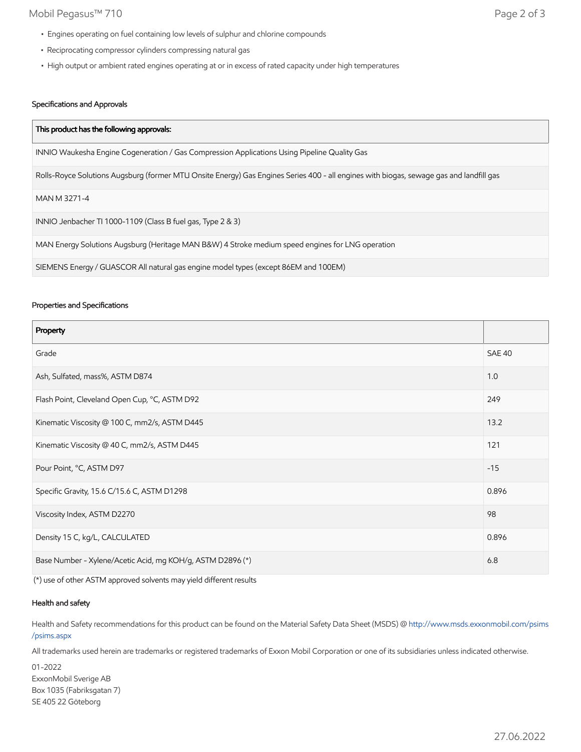## Mobil Pegasus™ 710 Page 2 of 3

- Engines operating on fuel containing low levels of sulphur and chlorine compounds
- Reciprocating compressor cylinders compressing natural gas
- High output or ambient rated engines operating at or in excess of rated capacity under high temperatures

## Specifications and Approvals

| This product has the following approvals:                                                                                               |  |
|-----------------------------------------------------------------------------------------------------------------------------------------|--|
| INNIO Waukesha Engine Cogeneration / Gas Compression Applications Using Pipeline Quality Gas                                            |  |
| Rolls-Royce Solutions Augsburg (former MTU Onsite Energy) Gas Engines Series 400 - all engines with biogas, sewage gas and landfill gas |  |
| MAN M 3271-4                                                                                                                            |  |
| INNIO Jenbacher TI 1000-1109 (Class B fuel gas, Type 2 & 3)                                                                             |  |
| MAN Energy Solutions Augsburg (Heritage MAN B&W) 4 Stroke medium speed engines for LNG operation                                        |  |
| SIEMENS Energy / GUASCOR All natural gas engine model types (except 86EM and 100EM)                                                     |  |

### Properties and Specifications

| Property                                                   |               |
|------------------------------------------------------------|---------------|
| Grade                                                      | <b>SAE 40</b> |
| Ash, Sulfated, mass%, ASTM D874                            | 1.0           |
| Flash Point, Cleveland Open Cup, °C, ASTM D92              | 249           |
| Kinematic Viscosity @ 100 C, mm2/s, ASTM D445              | 13.2          |
| Kinematic Viscosity @ 40 C, mm2/s, ASTM D445               | 121           |
| Pour Point, °C, ASTM D97                                   | $-15$         |
| Specific Gravity, 15.6 C/15.6 C, ASTM D1298                | 0.896         |
| Viscosity Index, ASTM D2270                                | 98            |
| Density 15 C, kg/L, CALCULATED                             | 0.896         |
| Base Number - Xylene/Acetic Acid, mg KOH/g, ASTM D2896 (*) |               |

(\*) use of other ASTM approved solvents may yield different results

## Health and safety

Health and Safety recommendations for this product can be found on the Material Safety Data Sheet (MSDS) @ [http://www.msds.exxonmobil.com/psims](http://www.msds.exxonmobil.com/psims/psims.aspx) /psims.aspx

All trademarks used herein are trademarks or registered trademarks of Exxon Mobil Corporation or one of its subsidiaries unless indicated otherwise.

01-2022 ExxonMobil Sverige AB Box 1035 (Fabriksgatan 7) SE 405 22 Göteborg